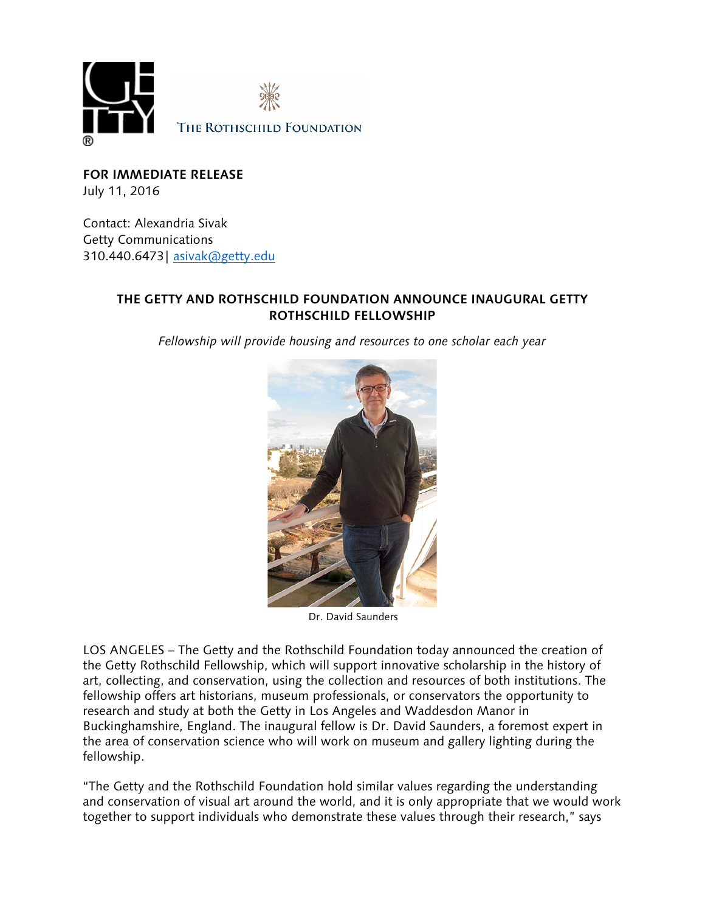

**FOR IMMEDIATE RELEASE** July 11, 2016

Contact: Alexandria Sivak Getty Communications 310.440.6473| [asivak@getty.edu](mailto:asivak@getty.edu)

# **THE GETTY AND ROTHSCHILD FOUNDATION ANNOUNCE INAUGURAL GETTY ROTHSCHILD FELLOWSHIP**

*Fellowship will provide housing and resources to one scholar each year*



Dr. David Saunders

LOS ANGELES – The Getty and the Rothschild Foundation today announced the creation of the Getty Rothschild Fellowship, which will support innovative scholarship in the history of art, collecting, and conservation, using the collection and resources of both institutions. The fellowship offers art historians, museum professionals, or conservators the opportunity to research and study at both the Getty in Los Angeles and Waddesdon Manor in Buckinghamshire, England. The inaugural fellow is Dr. David Saunders, a foremost expert in the area of conservation science who will work on museum and gallery lighting during the fellowship.

"The Getty and the Rothschild Foundation hold similar values regarding the understanding and conservation of visual art around the world, and it is only appropriate that we would work together to support individuals who demonstrate these values through their research," says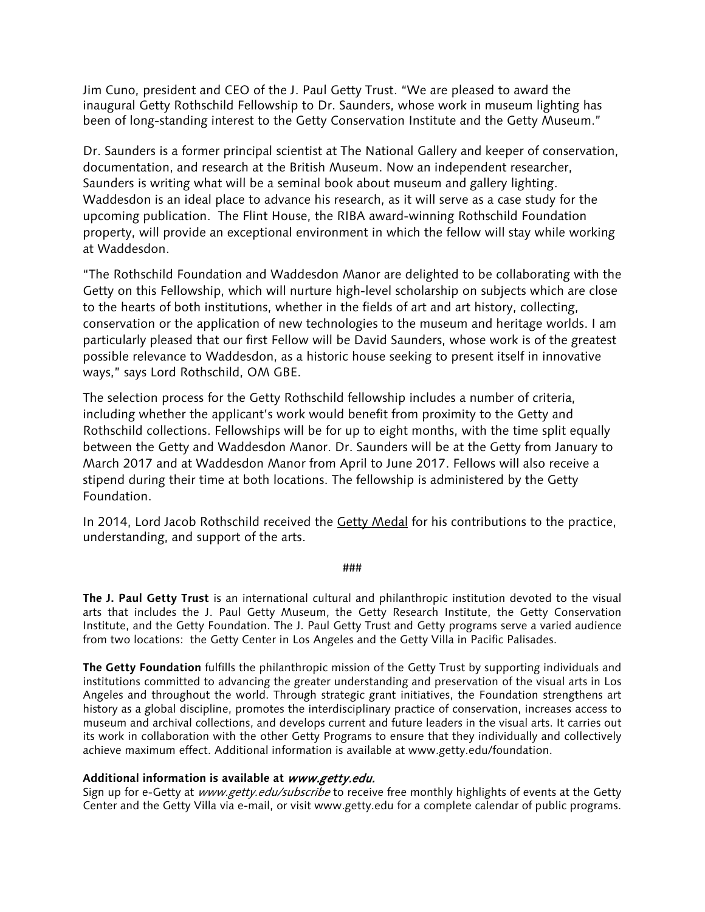Jim Cuno, president and CEO of the J. Paul Getty Trust. "We are pleased to award the inaugural Getty Rothschild Fellowship to Dr. Saunders, whose work in museum lighting has been of long-standing interest to the Getty Conservation Institute and the Getty Museum."

Dr. Saunders is a former principal scientist at The National Gallery and keeper of conservation, documentation, and research at the British Museum. Now an independent researcher, Saunders is writing what will be a seminal book about museum and gallery lighting. Waddesdon is an ideal place to advance his research, as it will serve as a case study for the upcoming publication. The Flint House, the RIBA award-winning Rothschild Foundation property, will provide an exceptional environment in which the fellow will stay while working at Waddesdon.

"The Rothschild Foundation and Waddesdon Manor are delighted to be collaborating with the Getty on this Fellowship, which will nurture high-level scholarship on subjects which are close to the hearts of both institutions, whether in the fields of art and art history, collecting, conservation or the application of new technologies to the museum and heritage worlds. I am particularly pleased that our first Fellow will be David Saunders, whose work is of the greatest possible relevance to Waddesdon, as a historic house seeking to present itself in innovative ways," says Lord Rothschild, OM GBE.

The selection process for the Getty Rothschild fellowship includes a number of criteria, including whether the applicant's work would benefit from proximity to the Getty and Rothschild collections. Fellowships will be for up to eight months, with the time split equally between the Getty and Waddesdon Manor. Dr. Saunders will be at the Getty from January to March 2017 and at Waddesdon Manor from April to June 2017. Fellows will also receive a stipend during their time at both locations. The fellowship is administered by the Getty Foundation.

In 2014, Lord Jacob Rothschild received the [Getty Medal](http://www.getty.edu/about/medal/) for his contributions to the practice, understanding, and support of the arts.

###

**The J. Paul Getty Trust** is an international cultural and philanthropic institution devoted to the visual arts that includes the J. Paul Getty Museum, the Getty Research Institute, the Getty Conservation Institute, and the Getty Foundation. The J. Paul Getty Trust and Getty programs serve a varied audience from two locations: the Getty Center in Los Angeles and the Getty Villa in Pacific Palisades.

**The Getty Foundation** fulfills the philanthropic mission of the Getty Trust by supporting individuals and institutions committed to advancing the greater understanding and preservation of the visual arts in Los Angeles and throughout the world. Through strategic grant initiatives, the Foundation strengthens art history as a global discipline, promotes the interdisciplinary practice of conservation, increases access to museum and archival collections, and develops current and future leaders in the visual arts. It carries out its work in collaboration with the other Getty Programs to ensure that they individually and collectively achieve maximum effect. Additional information is available at www.getty.edu/foundation.

## **Additional information is available at** www.getty.edu.

Sign up for e-Getty at www.getty.edu/subscribe to receive free monthly highlights of events at the Getty Center and the Getty Villa via e-mail, or visit www.getty.edu for a complete calendar of public programs.